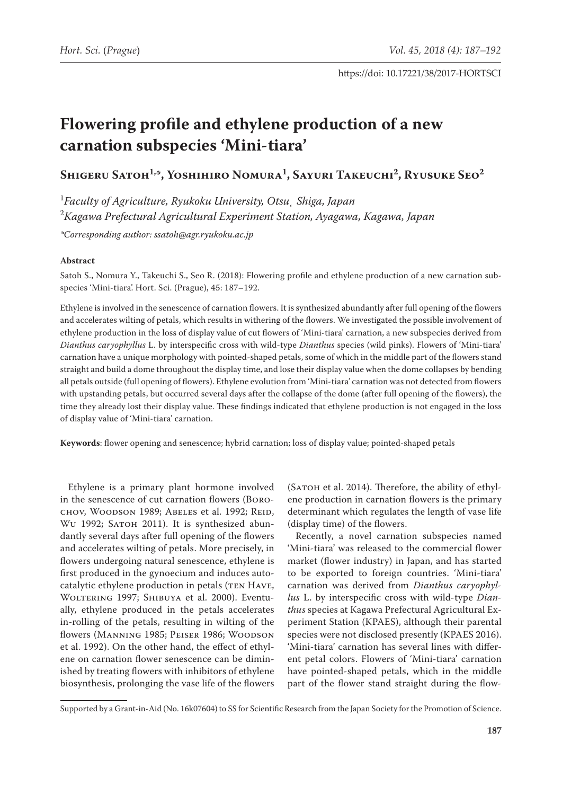# **Flowering profile and ethylene production of a new carnation subspecies 'Mini-tiara'**

**Shigeru Satoh1,\*, Yoshihiro Nomura1 , Sayuri Takeuchi2 , Ryusuke Seo2**

1 *Faculty of Agriculture, Ryukoku University, Otsu¸ Shiga, Japan* 2 *Kagawa Prefectural Agricultural Experiment Station, Ayagawa, Kagawa, Japan*

*\*Corresponding author: [ssatoh@agr.ryukoku.ac.jp](mailto:ssatoh@agr.ryukoku.ac.jp)*

## **Abstract**

Satoh S., Nomura Y., Takeuchi S., Seo R. (2018): Flowering profile and ethylene production of a new carnation subspecies 'Mini-tiara'. Hort. Sci. (Prague), 45: 187–192.

Ethylene is involved in the senescence of carnation flowers. It is synthesized abundantly after full opening of the flowers and accelerates wilting of petals, which results in withering of the flowers. We investigated the possible involvement of ethylene production in the loss of display value of cut flowers of 'Mini-tiara' carnation, a new subspecies derived from *Dianthus caryophyllus* L. by interspecific cross with wild-type *Dianthus* species (wild pinks). Flowers of 'Mini-tiara' carnation have a unique morphology with pointed-shaped petals, some of which in the middle part of the flowers stand straight and build a dome throughout the display time, and lose their display value when the dome collapses by bending all petals outside (full opening of flowers). Ethylene evolution from 'Mini-tiara' carnation was not detected from flowers with upstanding petals, but occurred several days after the collapse of the dome (after full opening of the flowers), the time they already lost their display value. These findings indicated that ethylene production is not engaged in the loss of display value of 'Mini-tiara' carnation.

**Keywords**: flower opening and senescence; hybrid carnation; loss of display value; pointed-shaped petals

Ethylene is a primary plant hormone involved in the senescence of cut carnation flowers (Borochov, Woodson 1989; Abeles et al. 1992; Reid, Wu 1992; SATOH 2011). It is synthesized abundantly several days after full opening of the flowers and accelerates wilting of petals. More precisely, in flowers undergoing natural senescence, ethylene is first produced in the gynoecium and induces autocatalytic ethylene production in petals (TEN HAVE, WOLTERING 1997; SHIBUYA et al. 2000). Eventually, ethylene produced in the petals accelerates in-rolling of the petals, resulting in wilting of the flowers (Manning 1985; Peiser 1986; Woodson et al. 1992). On the other hand, the effect of ethylene on carnation flower senescence can be diminished by treating flowers with inhibitors of ethylene biosynthesis, prolonging the vase life of the flowers

(Satoh et al. 2014). Therefore, the ability of ethylene production in carnation flowers is the primary determinant which regulates the length of vase life (display time) of the flowers.

Recently, a novel carnation subspecies named 'Mini-tiara' was released to the commercial flower market (flower industry) in Japan, and has started to be exported to foreign countries. 'Mini-tiara' carnation was derived from *Dianthus caryophyllus* L. by interspecific cross with wild-type *Dianthus* species at Kagawa Prefectural Agricultural Experiment Station (KPAES), although their parental species were not disclosed presently (KPAES 2016). 'Mini-tiara' carnation has several lines with different petal colors. Flowers of 'Mini-tiara' carnation have pointed-shaped petals, which in the middle part of the flower stand straight during the flow-

Supported by a Grant-in-Aid (No. 16k07604) to SS for Scientific Research from the Japan Society for the Promotion of Science.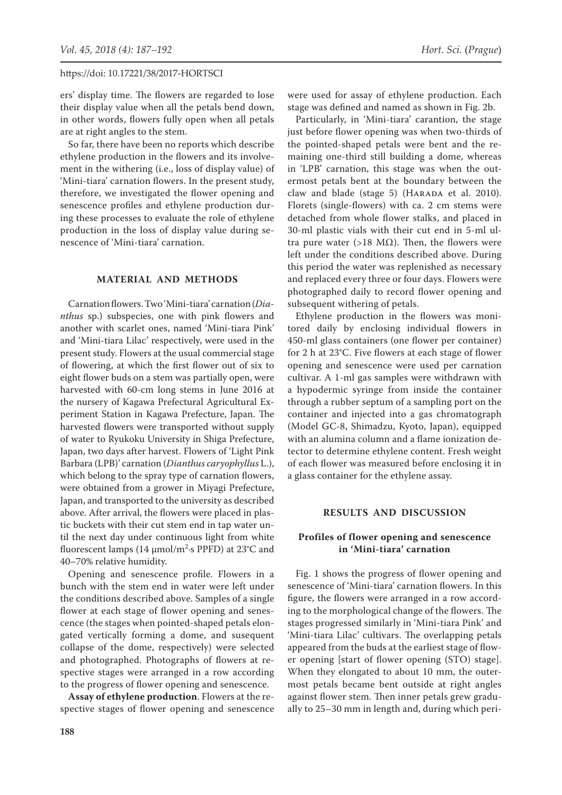ers' display time. The flowers are regarded to lose their display value when all the petals bend down, in other words, flowers fully open when all petals are at right angles to the stem.

So far, there have been no reports which describe ethylene production in the flowers and its involvement in the withering (i.e., loss of display value) of 'Mini-tiara' carnation flowers. In the present study, therefore, we investigated the flower opening and senescence profiles and ethylene production during these processes to evaluate the role of ethylene production in the loss of display value during senescence of 'Mini-tiara' carnation.

# **MATERIAL AND METHODS**

Carnation flowers. Two 'Mini-tiara' carnation (*Dianthus* sp.) subspecies, one with pink flowers and another with scarlet ones, named 'Mini-tiara Pink' and 'Mini-tiara Lilac' respectively, were used in the present study. Flowers at the usual commercial stage of flowering, at which the first flower out of six to eight flower buds on a stem was partially open, were harvested with 60-cm long stems in June 2016 at the nursery of Kagawa Prefectural Agricultural Experiment Station in Kagawa Prefecture, Japan. The harvested flowers were transported without supply of water to Ryukoku University in Shiga Prefecture, Japan, two days after harvest. Flowers of 'Light Pink Barbara (LPB)' carnation (*Dianthus caryophyllus* L.), which belong to the spray type of carnation flowers, were obtained from a grower in Miyagi Prefecture, Japan, and transported to the university as described above. After arrival, the flowers were placed in plastic buckets with their cut stem end in tap water until the next day under continuous light from white fluorescent lamps (14 μmol/m<sup>2</sup>·s PPFD) at 23°C and 40–70% relative humidity.

Opening and senescence profile. Flowers in a bunch with the stem end in water were left under the conditions described above. Samples of a single flower at each stage of flower opening and senescence (the stages when pointed-shaped petals elongated vertically forming a dome, and susequent collapse of the dome, respectively) were selected and photographed. Photographs of flowers at respective stages were arranged in a row according to the progress of flower opening and senescence.

**Assay of ethylene production**. Flowers at the respective stages of flower opening and senescence

were used for assay of ethylene production. Each stage was defined and named as shown in Fig. 2b.

Particularly, in 'Mini-tiara' carantion, the stage just before flower opening was when two-thirds of the pointed-shaped petals were bent and the remaining one-third still building a dome, whereas in 'LPB' carnation, this stage was when the outermost petals bent at the boundary between the claw and blade (stage 5) (HARADA et al. 2010). Florets (single-flowers) with ca. 2 cm stems were detached from whole flower stalks, and placed in 30-ml plastic vials with their cut end in 5-ml ultra pure water (>18 MΩ). Then, the flowers were left under the conditions described above. During this period the water was replenished as necessary and replaced every three or four days. Flowers were photographed daily to record flower opening and subsequent withering of petals.

Ethylene production in the flowers was monitored daily by enclosing individual flowers in 450-ml glass containers (one flower per container) for 2 h at 23°C. Five flowers at each stage of flower opening and senescence were used per carnation cultivar. A 1-ml gas samples were withdrawn with a hypodermic syringe from inside the container through a rubber septum of a sampling port on the container and injected into a gas chromatograph (Model GC-8, Shimadzu, Kyoto, Japan), equipped with an alumina column and a flame ionization detector to determine ethylene content. Fresh weight of each flower was measured before enclosing it in a glass container for the ethylene assay.

# **RESULTS AND DISCUSSION**

## **Profiles of flower opening and senescence in 'Mini-tiara' carnation**

Fig. 1 shows the progress of flower opening and senescence of 'Mini-tiara' carnation flowers. In this figure, the flowers were arranged in a row according to the morphological change of the flowers. The stages progressed similarly in 'Mini-tiara Pink' and 'Mini-tiara Lilac' cultivars. The overlapping petals appeared from the buds at the earliest stage of flower opening [start of flower opening (STO) stage]. When they elongated to about 10 mm, the outermost petals became bent outside at right angles against flower stem. Then inner petals grew gradually to 25–30 mm in length and, during which peri-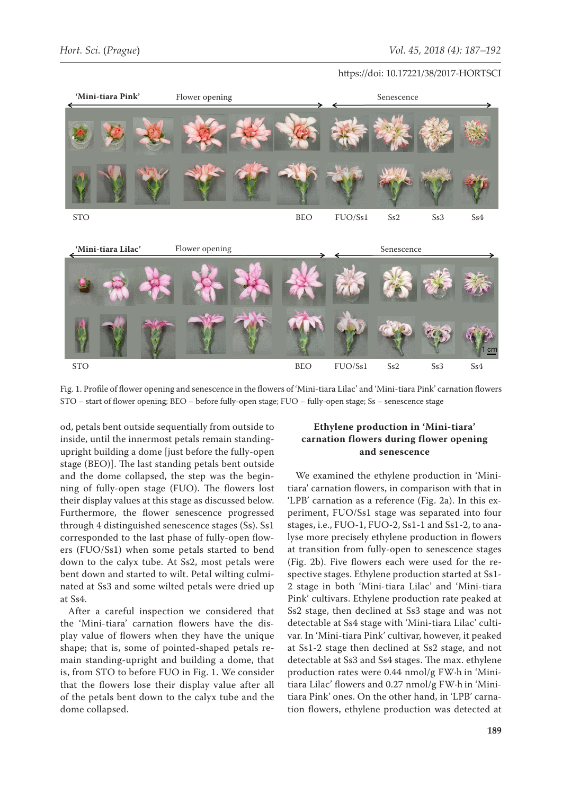

Fig. 1. Profile of flower opening and senescence in the flowers of 'Mini-tiara Lilac' and 'Mini-tiara Pink' carnation flowers STO – start of flower opening; BEO – before fully-open stage; FUO – fully-open stage; Ss – senescence stage

od, petals bent outside sequentially from outside to inside, until the innermost petals remain standingupright building a dome [just before the fully-open stage (BEO)]. The last standing petals bent outside and the dome collapsed, the step was the beginning of fully-open stage (FUO). The flowers lost their display values at this stage as discussed below. Furthermore, the flower senescence progressed through 4 distinguished senescence stages (Ss). Ss1 corresponded to the last phase of fully-open flowers (FUO/Ss1) when some petals started to bend down to the calyx tube. At Ss2, most petals were bent down and started to wilt. Petal wilting culminated at Ss3 and some wilted petals were dried up at Ss4.

After a careful inspection we considered that the 'Mini-tiara' carnation flowers have the display value of flowers when they have the unique shape; that is, some of pointed-shaped petals remain standing-upright and building a dome, that is, from STO to before FUO in Fig. 1. We consider that the flowers lose their display value after all of the petals bent down to the calyx tube and the dome collapsed.

# **Ethylene production in 'Mini-tiara' carnation flowers during flower opening and senescence**

We examined the ethylene production in 'Minitiara' carnation flowers, in comparison with that in 'LPB' carnation as a reference (Fig. 2a). In this experiment, FUO/Ss1 stage was separated into four stages, i.e., FUO-1, FUO-2, Ss1-1 and Ss1-2, to analyse more precisely ethylene production in flowers at transition from fully-open to senescence stages (Fig. 2b). Five flowers each were used for the respective stages. Ethylene production started at Ss1- 2 stage in both 'Mini-tiara Lilac' and 'Mini-tiara Pink' cultivars. Ethylene production rate peaked at Ss2 stage, then declined at Ss3 stage and was not detectable at Ss4 stage with 'Mini-tiara Lilac' cultivar. In 'Mini-tiara Pink' cultivar, however, it peaked at Ss1-2 stage then declined at Ss2 stage, and not detectable at Ss3 and Ss4 stages. The max. ethylene production rates were 0.44 nmol/g FW·h in 'Minitiara Lilac' flowers and 0.27 nmol/g FW·h in 'Minitiara Pink' ones. On the other hand, in 'LPB' carnation flowers, ethylene production was detected at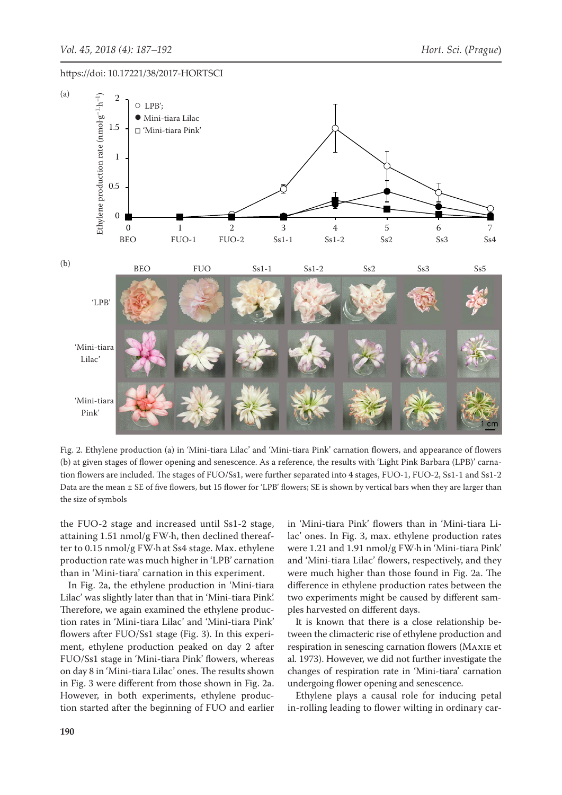

1 tion flowers are included. The stages of FUO/Ss1, were further separated into 4 stages, FUO-1, FUO-2, Ss1-1 and Ss1-2 Fig. 2. Ethylene production (a) in 'Mini-tiara Lilac' and 'Mini-tiara Pink' carnation flowers, and appearance of flowers (b) at given stages of flower opening and senescence. As a reference, the results with 'Light Pink Barbara (LPB)' carna-Data are the mean ± SE of five flowers, but 15 flower for 'LPB' flowers; SE is shown by vertical bars when they are larger than the size of symbols

the FUO-2 stage and increased until Ss1-2 stage, attaining 1.51 nmol/g FW·h, then declined thereafter to 0.15 nmol/g FW·h at Ss4 stage. Max. ethylene production rate was much higher in 'LPB' carnation than in 'Mini-tiara' carnation in this experiment.

In Fig. 2a, the ethylene production in 'Mini-tiara Lilac' was slightly later than that in 'Mini-tiara Pink'. Therefore, we again examined the ethylene production rates in 'Mini-tiara Lilac' and 'Mini-tiara Pink' flowers after FUO/Ss1 stage (Fig. 3). In this experiment, ethylene production peaked on day 2 after FUO/Ss1 stage in 'Mini-tiara Pink' flowers, whereas on day 8 in 'Mini-tiara Lilac' ones. The results shown in Fig. 3 were different from those shown in Fig. 2a. However, in both experiments, ethylene production started after the beginning of FUO and earlier

and increased until Ss1-2 stage, in 'Mini-tiara Pink' flowers than in 'Mini-tiara Lilac' ones. In Fig. 3, max. ethylene production rates were 1.21 and 1.91 nmol/g FW·h in 'Mini-tiara Pink' and 'Mini-tiara Lilac' flowers, respectively, and they were much higher than those found in Fig. 2a. The difference in ethylene production rates between the two experiments might be caused by different samples harvested on different days.

> It is known that there is a close relationship between the climacteric rise of ethylene production and respiration in senescing carnation flowers (Maxie et al. 1973). However, we did not further investigate the changes of respiration rate in 'Mini-tiara' carnation undergoing flower opening and senescence.

> Ethylene plays a causal role for inducing petal in-rolling leading to flower wilting in ordinary car-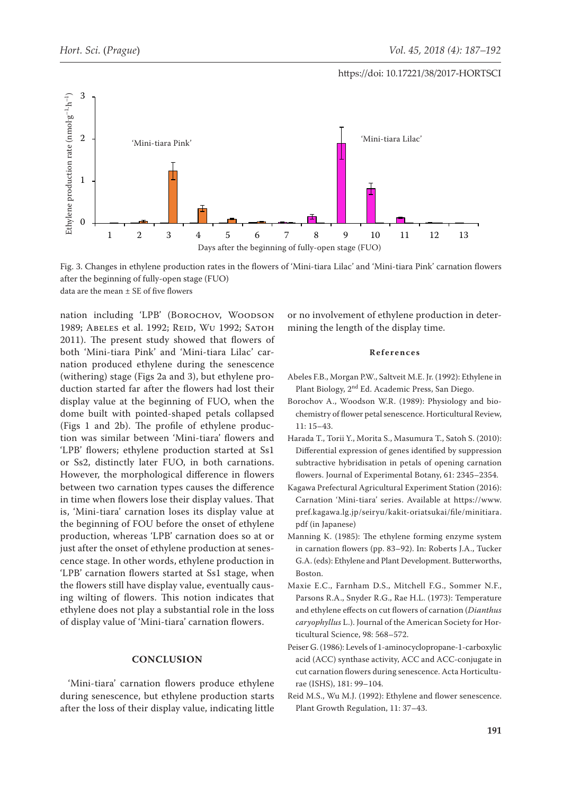

Fig. 3. Changes in ethylene production rates in the flowers of 'Mini-tiara Lilac' and 'Mini-tiara Pink' carnation flowers after the beginning of fully-open stage (FUO) data are the mean  $\pm$  SE of five flowers

nation including 'LPB' (BOROCHOV, WOODSON 1989; ABELES et al. 1992; REID, WU 1992; SATOH 2011). The present study showed that flowers of both 'Mini-tiara Pink' and 'Mini-tiara Lilac' carnation produced ethylene during the senescence (withering) stage (Figs 2a and 3), but ethylene production started far after the flowers had lost their display value at the beginning of FUO, when the dome built with pointed-shaped petals collapsed (Figs 1 and 2b). The profile of ethylene production was similar between 'Mini-tiara' flowers and 'LPB' flowers; ethylene production started at Ss1 or Ss2, distinctly later FUO, in both carnations. However, the morphological difference in flowers between two carnation types causes the difference in time when flowers lose their display values. That is, 'Mini-tiara' carnation loses its display value at the beginning of FOU before the onset of ethylene production, whereas 'LPB' carnation does so at or just after the onset of ethylene production at senescence stage. In other words, ethylene production in 'LPB' carnation flowers started at Ss1 stage, when the flowers still have display value, eventually causing wilting of flowers. This notion indicates that ethylene does not play a substantial role in the loss of display value of 'Mini-tiara' carnation flowers.

## **CONCLUSION**

'Mini-tiara' carnation flowers produce ethylene during senescence, but ethylene production starts after the loss of their display value, indicating little

or no involvement of ethylene production in determining the length of the display time.

#### **References**

- Abeles F.B., Morgan P.W., Saltveit M.E. Jr. (1992): Ethylene in Plant Biology, 2nd Ed. Academic Press, San Diego.
- Borochov A., Woodson W.R. (1989): Physiology and biochemistry of flower petal senescence. Horticultural Review, 11: 15–43.
- Harada T., Torii Y., Morita S., Masumura T., Satoh S. (2010): Differential expression of genes identified by suppression subtractive hybridisation in petals of opening carnation flowers. Journal of Experimental Botany, 61: 2345–2354.
- Kagawa Prefectural Agricultural Experiment Station (2016): Carnation 'Mini-tiara' series. Available at [https://www.](https://www.pref.kagawa.lg.jp/seiryu/kakit-oriatsukai/file/minitiara.pdf) [pref.kagawa.lg.jp/seiryu/kakit-oriatsukai/file/minitiara.](https://www.pref.kagawa.lg.jp/seiryu/kakit-oriatsukai/file/minitiara.pdf) [pdf](https://www.pref.kagawa.lg.jp/seiryu/kakit-oriatsukai/file/minitiara.pdf) (in Japanese)
- Manning K. (1985): The ethylene forming enzyme system in carnation flowers (pp. 83–92). In: Roberts J.A., Tucker G.A. (eds): Ethylene and Plant Development. Butterworths, Boston.
- Maxie E.C., Farnham D.S., Mitchell F.G., Sommer N.F., Parsons R.A., Snyder R.G., Rae H.L. (1973): Temperature and ethylene effects on cut flowers of carnation (*Dianthus caryophyllus* L.). Journal of the American Society for Horticultural Science, 98: 568–572.
- Peiser G. (1986): Levels of 1-aminocyclopropane-1-carboxylic acid (ACC) synthase activity, ACC and ACC-conjugate in cut carnation flowers during senescence. Acta Horticulturae (ISHS), 181: 99–104.
- Reid M.S., Wu M.J. (1992): Ethylene and flower senescence. Plant Growth Regulation, 11: 37–43.